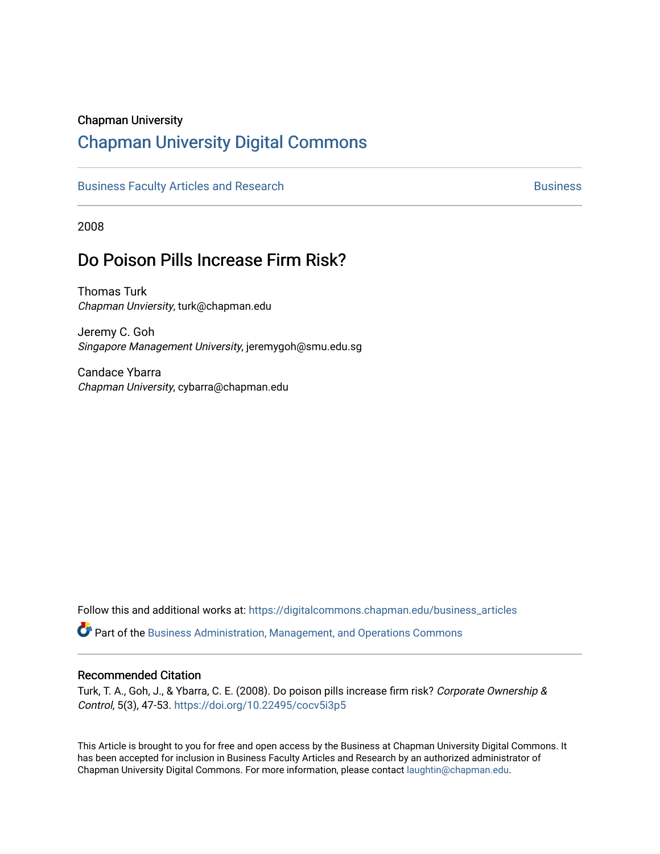## Chapman University

# [Chapman University Digital Commons](https://digitalcommons.chapman.edu/)

[Business Faculty Articles and Research](https://digitalcommons.chapman.edu/business_articles) [Business](https://digitalcommons.chapman.edu/business) **Business** Business

2008

# Do Poison Pills Increase Firm Risk?

Thomas Turk Chapman Unviersity, turk@chapman.edu

Jeremy C. Goh Singapore Management University, jeremygoh@smu.edu.sg

Candace Ybarra Chapman University, cybarra@chapman.edu

Follow this and additional works at: [https://digitalcommons.chapman.edu/business\\_articles](https://digitalcommons.chapman.edu/business_articles?utm_source=digitalcommons.chapman.edu%2Fbusiness_articles%2F107&utm_medium=PDF&utm_campaign=PDFCoverPages) 

Part of the [Business Administration, Management, and Operations Commons](http://network.bepress.com/hgg/discipline/623?utm_source=digitalcommons.chapman.edu%2Fbusiness_articles%2F107&utm_medium=PDF&utm_campaign=PDFCoverPages)

## Recommended Citation

Turk, T. A., Goh, J., & Ybarra, C. E. (2008). Do poison pills increase firm risk? Corporate Ownership & Control, 5(3), 47-53. <https://doi.org/10.22495/cocv5i3p5>

This Article is brought to you for free and open access by the Business at Chapman University Digital Commons. It has been accepted for inclusion in Business Faculty Articles and Research by an authorized administrator of Chapman University Digital Commons. For more information, please contact [laughtin@chapman.edu](mailto:laughtin@chapman.edu).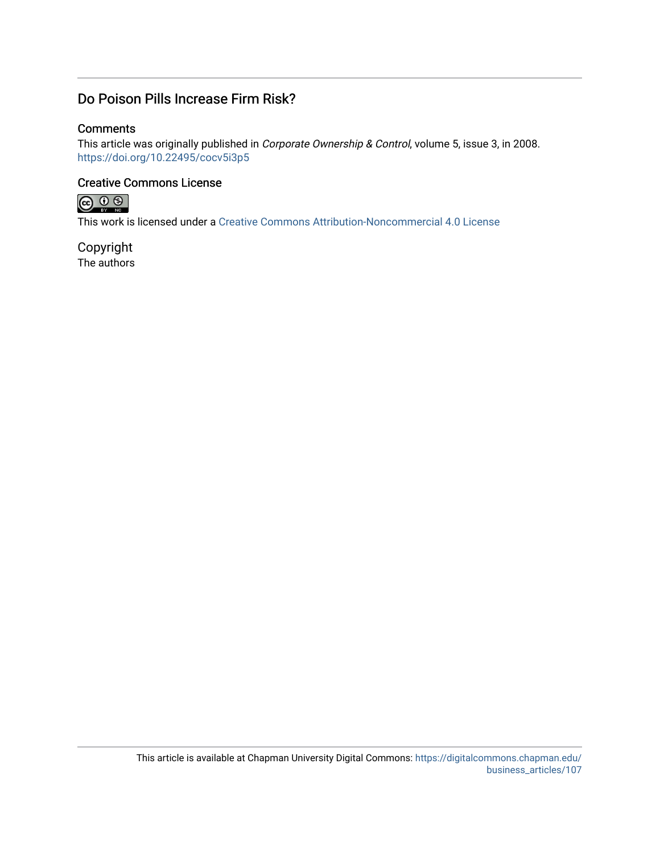## Do Poison Pills Increase Firm Risk?

## **Comments**

This article was originally published in Corporate Ownership & Control, volume 5, issue 3, in 2008. <https://doi.org/10.22495/cocv5i3p5>

## Creative Commons License



This work is licensed under a [Creative Commons Attribution-Noncommercial 4.0 License](https://creativecommons.org/licenses/by-nc/4.0/) 

Copyright The authors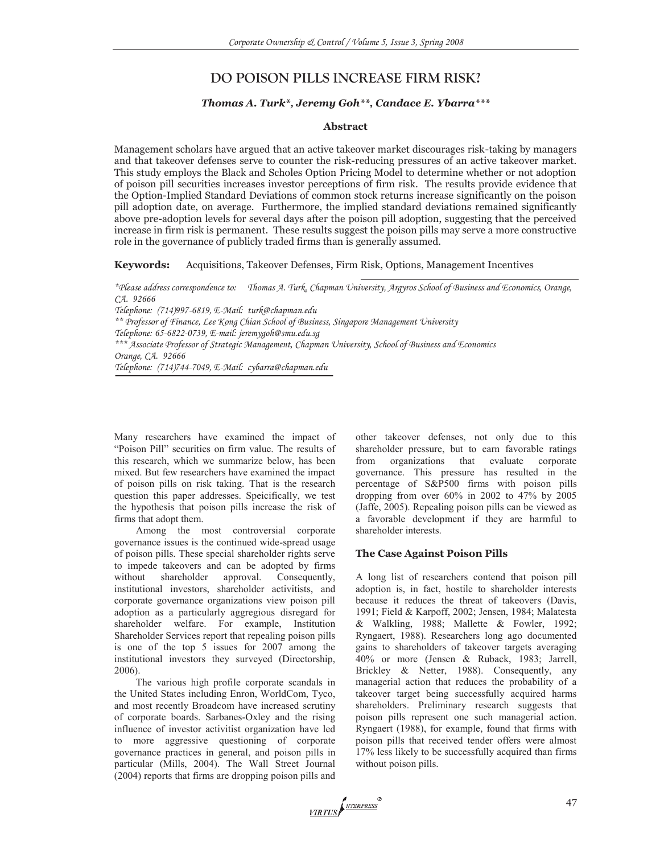## **DO POISON PILLS INCREASE FIRM RISK?**

#### *Thomas A. Turk\*, Jeremy Goh\*\*, Candace E. Ybarra\*\*\**

#### **Abstract**

Management scholars have argued that an active takeover market discourages risk-taking by managers and that takeover defenses serve to counter the risk-reducing pressures of an active takeover market. This study employs the Black and Scholes Option Pricing Model to determine whether or not adoption of poison pill securities increases investor perceptions of firm risk. The results provide evidence that the Option-Implied Standard Deviations of common stock returns increase significantly on the poison pill adoption date, on average. Furthermore, the implied standard deviations remained significantly above pre-adoption levels for several days after the poison pill adoption, suggesting that the perceived increase in firm risk is permanent. These results suggest the poison pills may serve a more constructive role in the governance of publicly traded firms than is generally assumed.

**Keywords:** Acquisitions, Takeover Defenses, Firm Risk, Options, Management Incentives

*\*Please address correspondence to: Thomas A. Turk, Chapman University, Argyros School of Business and Economics, Orange, CA. 92666* 

*Telephone: (714)997-6819, E-Mail: turk@chapman.edu* 

*\*\* Professor of Finance, Lee Kong Chian School of Business, Singapore Management University Telephone: 65-6822-0739, E-mail: jeremygoh@smu.edu.sg \*\*\* Associate Professor of Strategic Management, Chapman University, School of Business and Economics* 

*Orange, CA. 92666* 

*Telephone: (714)744-7049, E-Mail: cybarra@chapman.edu* 

Many researchers have examined the impact of "Poison Pill" securities on firm value. The results of this research, which we summarize below, has been mixed. But few researchers have examined the impact of poison pills on risk taking. That is the research question this paper addresses. Speicifically, we test the hypothesis that poison pills increase the risk of firms that adopt them.

Among the most controversial corporate governance issues is the continued wide-spread usage of poison pills. These special shareholder rights serve to impede takeovers and can be adopted by firms without shareholder approval. Consequently, institutional investors, shareholder activitists, and corporate governance organizations view poison pill adoption as a particularly aggregious disregard for shareholder welfare. For example, Institution Shareholder Services report that repealing poison pills is one of the top 5 issues for 2007 among the institutional investors they surveyed (Directorship, 2006).

The various high profile corporate scandals in the United States including Enron, WorldCom, Tyco, and most recently Broadcom have increased scrutiny of corporate boards. Sarbanes-Oxley and the rising influence of investor activitist organization have led to more aggressive questioning of corporate governance practices in general, and poison pills in particular (Mills, 2004). The Wall Street Journal (2004) reports that firms are dropping poison pills and other takeover defenses, not only due to this shareholder pressure, but to earn favorable ratings from organizations that evaluate corporate governance. This pressure has resulted in the percentage of S&P500 firms with poison pills dropping from over  $60\%$  in 2002 to 47% by 2005 (Jaffe, 2005). Repealing poison pills can be viewed as a favorable development if they are harmful to shareholder interests.

#### **The Case Against Poison Pills**

A long list of researchers contend that poison pill adoption is, in fact, hostile to shareholder interests because it reduces the threat of takeovers (Davis, 1991; Field & Karpoff, 2002; Jensen, 1984; Malatesta & Walkling, 1988; Mallette & Fowler, 1992; Ryngaert, 1988). Researchers long ago documented gains to shareholders of takeover targets averaging 40% or more (Jensen & Ruback, 1983; Jarrell, Brickley & Netter, 1988). Consequently, any managerial action that reduces the probability of a takeover target being successfully acquired harms shareholders. Preliminary research suggests that poison pills represent one such managerial action. Ryngaert (1988), for example, found that firms with poison pills that received tender offers were almost 17% less likely to be successfully acquired than firms without poison pills.

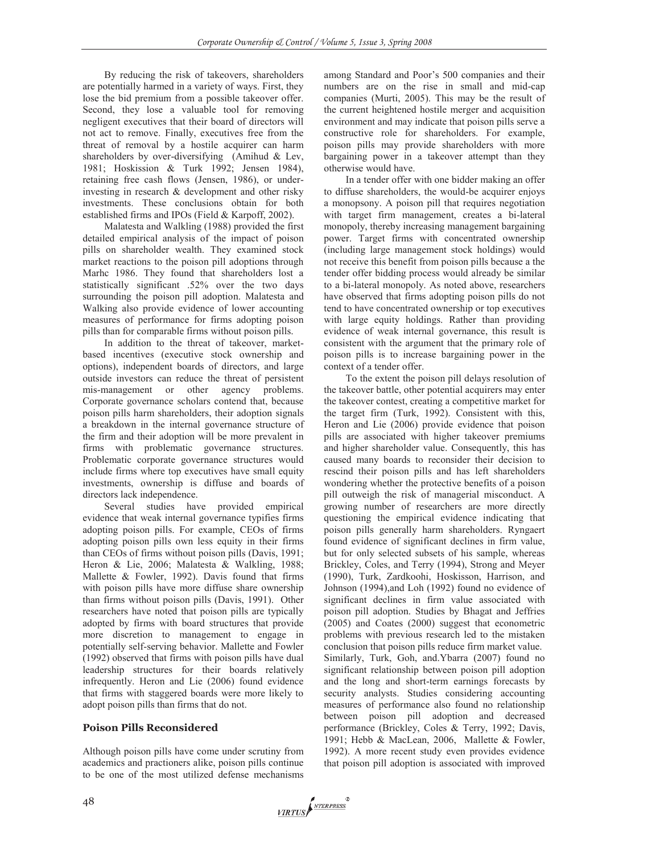By reducing the risk of takeovers, shareholders are potentially harmed in a variety of ways. First, they lose the bid premium from a possible takeover offer. Second, they lose a valuable tool for removing negligent executives that their board of directors will not act to remove. Finally, executives free from the threat of removal by a hostile acquirer can harm shareholders by over-diversifying (Amihud & Lev, 1981; Hoskission & Turk 1992; Jensen 1984), retaining free cash flows (Jensen, 1986), or underinvesting in research & development and other risky investments. These conclusions obtain for both established firms and IPOs (Field & Karpoff, 2002).

Malatesta and Walkling (1988) provided the first detailed empirical analysis of the impact of poison pills on shareholder wealth. They examined stock market reactions to the poison pill adoptions through Marhc 1986. They found that shareholders lost a statistically significant .52% over the two days surrounding the poison pill adoption. Malatesta and Walking also provide evidence of lower accounting measures of performance for firms adopting poison pills than for comparable firms without poison pills.

In addition to the threat of takeover, marketbased incentives (executive stock ownership and options), independent boards of directors, and large outside investors can reduce the threat of persistent mis-management or other agency problems. Corporate governance scholars contend that, because poison pills harm shareholders, their adoption signals a breakdown in the internal governance structure of the firm and their adoption will be more prevalent in firms with problematic governance structures. Problematic corporate governance structures would include firms where top executives have small equity investments, ownership is diffuse and boards of directors lack independence.

Several studies have provided empirical evidence that weak internal governance typifies firms adopting poison pills. For example, CEOs of firms adopting poison pills own less equity in their firms than CEOs of firms without poison pills (Davis, 1991; Heron & Lie, 2006; Malatesta & Walkling, 1988; Mallette & Fowler, 1992). Davis found that firms with poison pills have more diffuse share ownership than firms without poison pills (Davis, 1991). Other researchers have noted that poison pills are typically adopted by firms with board structures that provide more discretion to management to engage in potentially self-serving behavior. Mallette and Fowler (1992) observed that firms with poison pills have dual leadership structures for their boards relatively infrequently. Heron and Lie (2006) found evidence that firms with staggered boards were more likely to adopt poison pills than firms that do not.

#### **Poison Pills Reconsidered**

Although poison pills have come under scrutiny from academics and practioners alike, poison pills continue to be one of the most utilized defense mechanisms among Standard and Poor's 500 companies and their numbers are on the rise in small and mid-cap companies (Murti, 2005). This may be the result of the current heightened hostile merger and acquisition environment and may indicate that poison pills serve a constructive role for shareholders. For example, poison pills may provide shareholders with more bargaining power in a takeover attempt than they otherwise would have.

In a tender offer with one bidder making an offer to diffuse shareholders, the would-be acquirer enjoys a monopsony. A poison pill that requires negotiation with target firm management, creates a bi-lateral monopoly, thereby increasing management bargaining power. Target firms with concentrated ownership (including large management stock holdings) would not receive this benefit from poison pills because a the tender offer bidding process would already be similar to a bi-lateral monopoly. As noted above, researchers have observed that firms adopting poison pills do not tend to have concentrated ownership or top executives with large equity holdings. Rather than providing evidence of weak internal governance, this result is consistent with the argument that the primary role of poison pills is to increase bargaining power in the context of a tender offer.

To the extent the poison pill delays resolution of the takeover battle, other potential acquirers may enter the takeover contest, creating a competitive market for the target firm (Turk, 1992). Consistent with this, Heron and Lie (2006) provide evidence that poison pills are associated with higher takeover premiums and higher shareholder value. Consequently, this has caused many boards to reconsider their decision to rescind their poison pills and has left shareholders wondering whether the protective benefits of a poison pill outweigh the risk of managerial misconduct. A growing number of researchers are more directly questioning the empirical evidence indicating that poison pills generally harm shareholders. Ryngaert found evidence of significant declines in firm value, but for only selected subsets of his sample, whereas Brickley, Coles, and Terry (1994), Strong and Meyer (1990), Turk, Zardkoohi, Hoskisson, Harrison, and Johnson (1994),and Loh (1992) found no evidence of significant declines in firm value associated with poison pill adoption. Studies by Bhagat and Jeffries (2005) and Coates (2000) suggest that econometric problems with previous research led to the mistaken conclusion that poison pills reduce firm market value. Similarly, Turk, Goh, and.Ybarra (2007) found no significant relationship between poison pill adoption and the long and short-term earnings forecasts by security analysts. Studies considering accounting measures of performance also found no relationship between poison pill adoption and decreased performance (Brickley, Coles & Terry, 1992; Davis, 1991; Hebb & MacLean, 2006, Mallette & Fowler, 1992). A more recent study even provides evidence that poison pill adoption is associated with improved

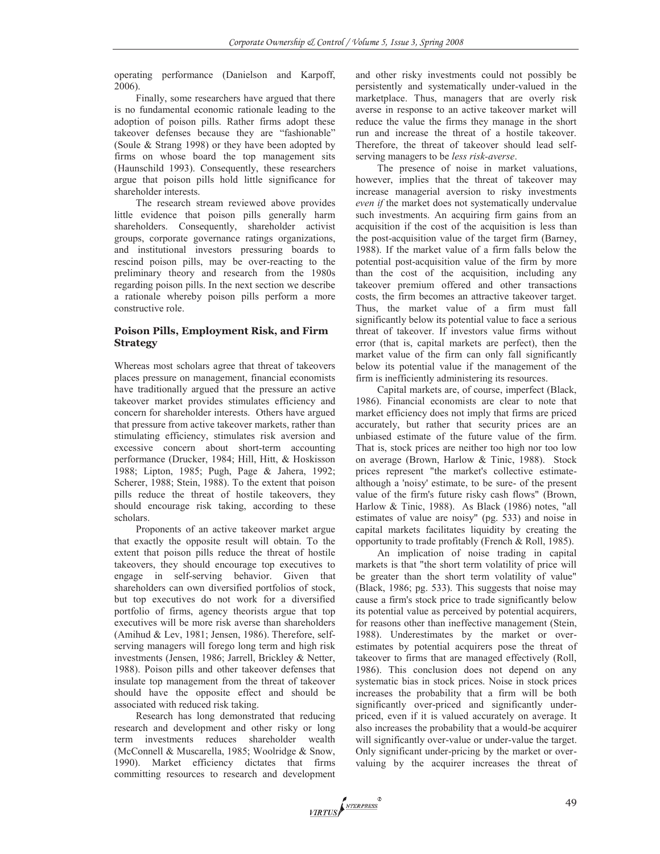operating performance (Danielson and Karpoff, 2006).

Finally, some researchers have argued that there is no fundamental economic rationale leading to the adoption of poison pills. Rather firms adopt these takeover defenses because they are "fashionable" (Soule & Strang 1998) or they have been adopted by firms on whose board the top management sits (Haunschild 1993). Consequently, these researchers argue that poison pills hold little significance for shareholder interests.

The research stream reviewed above provides little evidence that poison pills generally harm shareholders. Consequently, shareholder activist groups, corporate governance ratings organizations, and institutional investors pressuring boards to rescind poison pills, may be over-reacting to the preliminary theory and research from the 1980s regarding poison pills. In the next section we describe a rationale whereby poison pills perform a more constructive role.

#### **Poison Pills, Employment Risk, and Firm Strategy**

Whereas most scholars agree that threat of takeovers places pressure on management, financial economists have traditionally argued that the pressure an active takeover market provides stimulates efficiency and concern for shareholder interests. Others have argued that pressure from active takeover markets, rather than stimulating efficiency, stimulates risk aversion and excessive concern about short-term accounting performance (Drucker, 1984; Hill, Hitt, & Hoskisson 1988; Lipton, 1985; Pugh, Page & Jahera, 1992; Scherer, 1988; Stein, 1988). To the extent that poison pills reduce the threat of hostile takeovers, they should encourage risk taking, according to these scholars.

Proponents of an active takeover market argue that exactly the opposite result will obtain. To the extent that poison pills reduce the threat of hostile takeovers, they should encourage top executives to engage in self-serving behavior. Given that shareholders can own diversified portfolios of stock, but top executives do not work for a diversified portfolio of firms, agency theorists argue that top executives will be more risk averse than shareholders (Amihud & Lev, 1981; Jensen, 1986). Therefore, selfserving managers will forego long term and high risk investments (Jensen, 1986; Jarrell, Brickley & Netter, 1988). Poison pills and other takeover defenses that insulate top management from the threat of takeover should have the opposite effect and should be associated with reduced risk taking.

Research has long demonstrated that reducing research and development and other risky or long term investments reduces shareholder wealth (McConnell & Muscarella, 1985; Woolridge & Snow, 1990). Market efficiency dictates that firms committing resources to research and development and other risky investments could not possibly be persistently and systematically under-valued in the marketplace. Thus, managers that are overly risk averse in response to an active takeover market will reduce the value the firms they manage in the short run and increase the threat of a hostile takeover. Therefore, the threat of takeover should lead selfserving managers to be *less risk-averse*.

The presence of noise in market valuations, however, implies that the threat of takeover may increase managerial aversion to risky investments *even if* the market does not systematically undervalue such investments. An acquiring firm gains from an acquisition if the cost of the acquisition is less than the post-acquisition value of the target firm (Barney, 1988). If the market value of a firm falls below the potential post-acquisition value of the firm by more than the cost of the acquisition, including any takeover premium offered and other transactions costs, the firm becomes an attractive takeover target. Thus, the market value of a firm must fall significantly below its potential value to face a serious threat of takeover. If investors value firms without error (that is, capital markets are perfect), then the market value of the firm can only fall significantly below its potential value if the management of the firm is inefficiently administering its resources.

Capital markets are, of course, imperfect (Black, 1986). Financial economists are clear to note that market efficiency does not imply that firms are priced accurately, but rather that security prices are an unbiased estimate of the future value of the firm. That is, stock prices are neither too high nor too low on average (Brown, Harlow & Tinic, 1988). Stock prices represent "the market's collective estimatealthough a 'noisy' estimate, to be sure- of the present value of the firm's future risky cash flows" (Brown, Harlow & Tinic, 1988). As Black (1986) notes, "all estimates of value are noisy" (pg. 533) and noise in capital markets facilitates liquidity by creating the opportunity to trade profitably (French & Roll, 1985).

An implication of noise trading in capital markets is that "the short term volatility of price will be greater than the short term volatility of value" (Black, 1986; pg. 533). This suggests that noise may cause a firm's stock price to trade significantly below its potential value as perceived by potential acquirers, for reasons other than ineffective management (Stein, 1988). Underestimates by the market or overestimates by potential acquirers pose the threat of takeover to firms that are managed effectively (Roll, 1986). This conclusion does not depend on any systematic bias in stock prices. Noise in stock prices increases the probability that a firm will be both significantly over-priced and significantly underpriced, even if it is valued accurately on average. It also increases the probability that a would-be acquirer will significantly over-value or under-value the target. Only significant under-pricing by the market or overvaluing by the acquirer increases the threat of

VIRTUS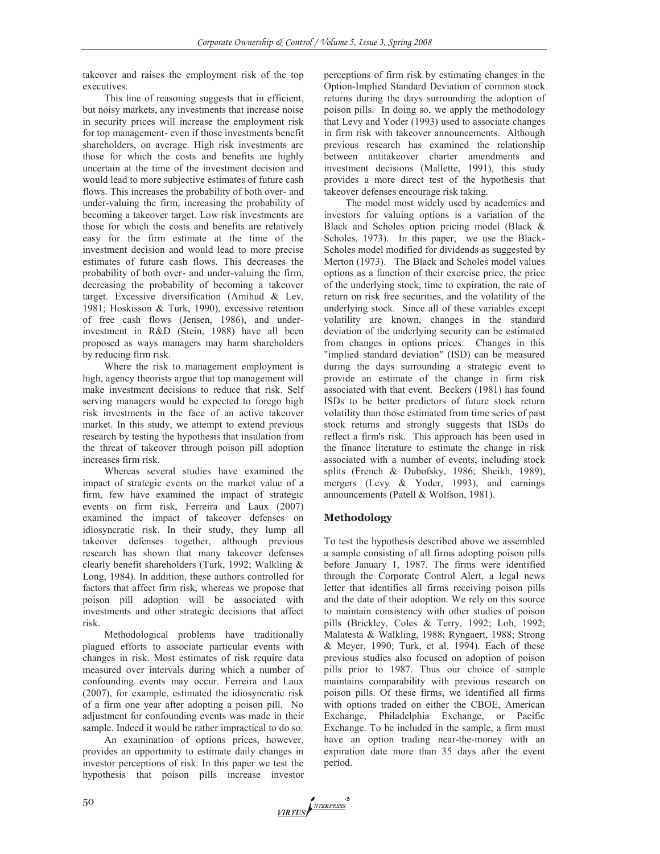takeover and raises the employment risk of the top executives.

This line of reasoning suggests that in efficient, but noisy markets, any investments that increase noise in security prices will increase the employment risk for top management- even if those investments benefit shareholders, on average. High risk investments are those for which the costs and benefits are highly uncertain at the time of the investment decision and would lead to more subjective estimates of future cash flows. This increases the probability of both over- and under-valuing the firm, increasing the probability of becoming a takeover target. Low risk investments are those for which the costs and benefits are relatively easy for the firm estimate at the time of the investment decision and would lead to more precise estimates of future cash flows. This decreases the probability of both over- and under-valuing the firm, decreasing the probability of becoming a takeover target. Excessive diversification (Amihud & Lev, 1981; Hoskisson & Turk, 1990), excessive retention of free cash flows (Jensen, 1986), and underinvestment in R&D (Stein, 1988) have all been proposed as ways managers may harm shareholders by reducing firm risk.

Where the risk to management employment is high, agency theorists argue that top management will make investment decisions to reduce that risk. Self serving managers would be expected to forego high risk investments in the face of an active takeover market. In this study, we attempt to extend previous research by testing the hypothesis that insulation from the threat of takeover through poison pill adoption increases firm risk.

Whereas several studies have examined the impact of strategic events on the market value of a firm, few have examined the impact of strategic events on firm risk, Ferreira and Laux (2007) examined the impact of takeover defenses on idiosyncratic risk. In their study, they lump all takeover defenses together, although previous research has shown that many takeover defenses clearly benefit shareholders (Turk, 1992; Walkling & Long, 1984). In addition, these authors controlled for factors that affect firm risk, whereas we propose that poison pill adoption will be associated with investments and other strategic decisions that affect risk.

Methodological problems have traditionally plagued efforts to associate particular events with changes in risk. Most estimates of risk require data measured over intervals during which a number of confounding events may occur. Ferreira and Laux (2007), for example, estimated the idiosyncratic risk of a firm one year after adopting a poison pill. No adjustment for confounding events was made in their sample. Indeed it would be rather impractical to do so.

An examination of options prices, however, provides an opportunity to estimate daily changes in investor perceptions of risk. In this paper we test the hypothesis that poison pills increase investor perceptions of firm risk by estimating changes in the Option-Implied Standard Deviation of common stock returns during the days surrounding the adoption of poison pills. In doing so, we apply the methodology that Levy and Yoder (1993) used to associate changes in firm risk with takeover announcements. Although previous research has examined the relationship between antitakeover charter amendments and investment decisions (Mallette, 1991), this study provides a more direct test of the hypothesis that takeover defenses encourage risk taking.

The model most widely used by academics and investors for valuing options is a variation of the Black and Scholes option pricing model (Black & Scholes, 1973). In this paper, we use the Black-Scholes model modified for dividends as suggested by Merton (1973). The Black and Scholes model values options as a function of their exercise price, the price of the underlying stock, time to expiration, the rate of return on risk free securities, and the volatility of the underlying stock. Since all of these variables except volatility are known, changes in the standard deviation of the underlying security can be estimated from changes in options prices. Changes in this "implied standard deviation" (ISD) can be measured during the days surrounding a strategic event to provide an estimate of the change in firm risk associated with that event. Beckers (1981) has found ISDs to be better predictors of future stock return volatility than those estimated from time series of past stock returns and strongly suggests that ISDs do reflect a firm's risk. This approach has been used in the finance literature to estimate the change in risk associated with a number of events, including stock splits (French & Dubofsky, 1986; Sheikh, 1989), mergers (Levy & Yoder, 1993), and earnings announcements (Patell & Wolfson, 1981).

### **Methodology**

To test the hypothesis described above we assembled a sample consisting of all firms adopting poison pills before January 1, 1987. The firms were identified through the Corporate Control Alert, a legal news letter that identifies all firms receiving poison pills and the date of their adoption. We rely on this source to maintain consistency with other studies of poison pills (Brickley, Coles & Terry, 1992; Loh, 1992; Malatesta & Walkling, 1988; Ryngaert, 1988; Strong & Meyer, 1990; Turk, et al. 1994). Each of these previous studies also focused on adoption of poison pills prior to 1987. Thus our choice of sample maintains comparability with previous research on poison pills. Of these firms, we identified all firms with options traded on either the CBOE, American Exchange, Philadelphia Exchange, or Pacific Exchange. To be included in the sample, a firm must have an option trading near-the-money with an expiration date more than 35 days after the event period.

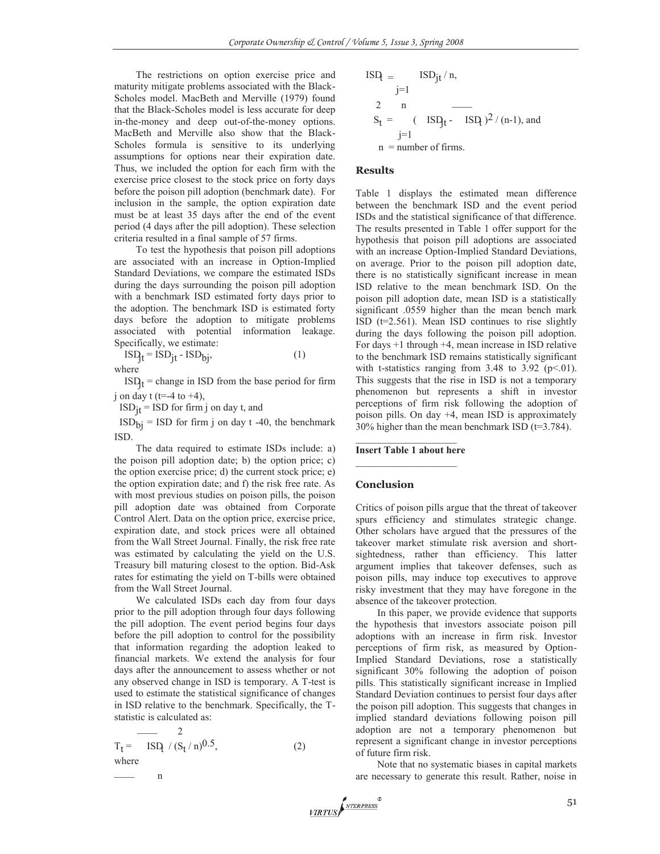The restrictions on option exercise price and maturity mitigate problems associated with the Black-Scholes model. MacBeth and Merville (1979) found that the Black-Scholes model is less accurate for deep in-the-money and deep out-of-the-money options. MacBeth and Merville also show that the Black-Scholes formula is sensitive to its underlying assumptions for options near their expiration date. Thus, we included the option for each firm with the exercise price closest to the stock price on forty days before the poison pill adoption (benchmark date). For inclusion in the sample, the option expiration date must be at least 35 days after the end of the event period (4 days after the pill adoption). These selection criteria resulted in a final sample of 57 firms.

To test the hypothesis that poison pill adoptions are associated with an increase in Option-Implied Standard Deviations, we compare the estimated ISDs during the days surrounding the poison pill adoption with a benchmark ISD estimated forty days prior to the adoption. The benchmark ISD is estimated forty days before the adoption to mitigate problems associated with potential information leakage. Specifically, we estimate:

 $ISD_t = ISD_{jt} - ISD_{bj}$ , (1) where

 $ISD_t$  = change in ISD from the base period for firm j on day t (t=-4 to  $+4$ ),

 $ISD_{jt} = ISD$  for firm j on day t, and

 $\text{ISD}_{\text{bi}} = \text{ISD}$  for firm j on day t -40, the benchmark ISD.

The data required to estimate ISDs include: a) the poison pill adoption date; b) the option price; c) the option exercise price; d) the current stock price; e) the option expiration date; and f) the risk free rate. As with most previous studies on poison pills, the poison pill adoption date was obtained from Corporate Control Alert. Data on the option price, exercise price, expiration date, and stock prices were all obtained from the Wall Street Journal. Finally, the risk free rate was estimated by calculating the yield on the U.S. Treasury bill maturing closest to the option. Bid-Ask rates for estimating the yield on T-bills were obtained from the Wall Street Journal.

We calculated ISDs each day from four days prior to the pill adoption through four days following the pill adoption. The event period begins four days before the pill adoption to control for the possibility that information regarding the adoption leaked to financial markets. We extend the analysis for four days after the announcement to assess whether or not any observed change in ISD is temporary. A T-test is used to estimate the statistical significance of changes in ISD relative to the benchmark. Specifically, the Tstatistic is calculated as:

$$
T_{t} = \frac{2}{\text{ISD}_{t} / (S_{t}/n)^{0.5}},
$$
\nwhere\n
$$
n
$$
\n(2)

$$
ISD_{t} = \n\begin{cases}\n\text{ISD}_{jt} / n, \\
j=1\n\end{cases}
$$
\n
$$
S_{t} = \n\begin{cases}\n\text{ISD}_{jt} - \text{ISD}_{t}\n\end{cases}^{2} / (n-1), \text{ and } \n\begin{cases}\nj=1 \\
n = number of firms.\n\end{cases}
$$

#### **Results**

Table 1 displays the estimated mean difference between the benchmark ISD and the event period ISDs and the statistical significance of that difference. The results presented in Table 1 offer support for the hypothesis that poison pill adoptions are associated with an increase Option-Implied Standard Deviations, on average. Prior to the poison pill adoption date, there is no statistically significant increase in mean ISD relative to the mean benchmark ISD. On the poison pill adoption date, mean ISD is a statistically significant .0559 higher than the mean bench mark ISD ( $t=2.561$ ). Mean ISD continues to rise slightly during the days following the poison pill adoption. For days +1 through +4, mean increase in ISD relative to the benchmark ISD remains statistically significant with t-statistics ranging from 3.48 to 3.92 ( $p<01$ ). This suggests that the rise in ISD is not a temporary phenomenon but represents a shift in investor perceptions of firm risk following the adoption of poison pills. On day +4, mean ISD is approximately 30% higher than the mean benchmark ISD (t=3.784).

#### $\mathcal{L}=\{1,2,3,4,5\}$ **Insert Table 1 about here**

#### **Conclusion**

Critics of poison pills argue that the threat of takeover spurs efficiency and stimulates strategic change. Other scholars have argued that the pressures of the takeover market stimulate risk aversion and shortsightedness, rather than efficiency. This latter argument implies that takeover defenses, such as poison pills, may induce top executives to approve risky investment that they may have foregone in the absence of the takeover protection.

In this paper, we provide evidence that supports the hypothesis that investors associate poison pill adoptions with an increase in firm risk. Investor perceptions of firm risk, as measured by Option-Implied Standard Deviations, rose a statistically significant 30% following the adoption of poison pills. This statistically significant increase in Implied Standard Deviation continues to persist four days after the poison pill adoption. This suggests that changes in implied standard deviations following poison pill adoption are not a temporary phenomenon but represent a significant change in investor perceptions of future firm risk.

Note that no systematic biases in capital markets are necessary to generate this result. Rather, noise in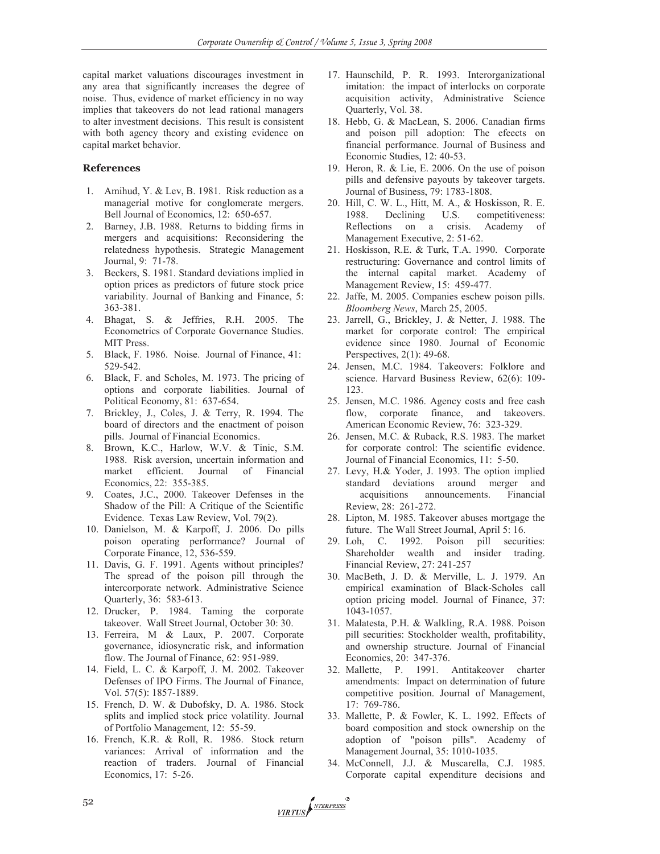capital market valuations discourages investment in any area that significantly increases the degree of noise. Thus, evidence of market efficiency in no way implies that takeovers do not lead rational managers to alter investment decisions. This result is consistent with both agency theory and existing evidence on capital market behavior.

#### **References**

- 1. Amihud, Y. & Lev, B. 1981. Risk reduction as a managerial motive for conglomerate mergers. Bell Journal of Economics, 12: 650-657.
- 2. Barney, J.B. 1988. Returns to bidding firms in mergers and acquisitions: Reconsidering the relatedness hypothesis. Strategic Management Journal, 9: 71-78.
- 3. Beckers, S. 1981. Standard deviations implied in option prices as predictors of future stock price variability. Journal of Banking and Finance, 5: 363-381.
- 4. Bhagat, S. & Jeffries, R.H. 2005. The Econometrics of Corporate Governance Studies. MIT Press.
- 5. Black, F. 1986. Noise. Journal of Finance, 41: 529-542.
- 6. Black, F. and Scholes, M. 1973. The pricing of options and corporate liabilities. Journal of Political Economy, 81: 637-654.
- 7. Brickley, J., Coles, J. & Terry, R. 1994. The board of directors and the enactment of poison pills. Journal of Financial Economics.
- 8. Brown, K.C., Harlow, W.V. & Tinic, S.M. 1988. Risk aversion, uncertain information and market efficient. Journal of Financial Economics, 22: 355-385.
- 9. Coates, J.C., 2000. Takeover Defenses in the Shadow of the Pill: A Critique of the Scientific Evidence. Texas Law Review, Vol. 79(2).
- 10. Danielson, M. & Karpoff, J. 2006. Do pills poison operating performance? Journal of Corporate Finance, 12, 536-559.
- 11. Davis, G. F. 1991. Agents without principles? The spread of the poison pill through the intercorporate network. Administrative Science Quarterly, 36: 583-613.
- 12. Drucker, P. 1984. Taming the corporate takeover. Wall Street Journal, October 30: 30.
- 13. Ferreira, M & Laux, P. 2007. Corporate governance, idiosyncratic risk, and information flow. The Journal of Finance, 62: 951-989.
- 14. Field, L. C. & Karpoff, J. M. 2002. Takeover Defenses of IPO Firms. The Journal of Finance, Vol. 57(5): 1857-1889.
- 15. French, D. W. & Dubofsky, D. A. 1986. Stock splits and implied stock price volatility. Journal of Portfolio Management, 12: 55-59.
- 16. French, K.R. & Roll, R. 1986. Stock return variances: Arrival of information and the reaction of traders. Journal of Financial Economics, 17: 5-26.
- 17. Haunschild, P. R. 1993. Interorganizational imitation: the impact of interlocks on corporate acquisition activity, Administrative Science Quarterly, Vol. 38.
- 18. Hebb, G. & MacLean, S. 2006. Canadian firms and poison pill adoption: The efeects on financial performance. Journal of Business and Economic Studies, 12: 40-53.
- 19. Heron, R. & Lie, E. 2006. On the use of poison pills and defensive payouts by takeover targets. Journal of Business, 79: 1783-1808.
- 20. Hill, C. W. L., Hitt, M. A., & Hoskisson, R. E. 1988. Declining U.S. competitiveness: Reflections on a crisis. Academy of Management Executive, 2: 51-62.
- 21. Hoskisson, R.E. & Turk, T.A. 1990. Corporate restructuring: Governance and control limits of the internal capital market. Academy of Management Review, 15: 459-477.
- 22. Jaffe, M. 2005. Companies eschew poison pills. *Bloomberg News*, March 25, 2005.
- 23. Jarrell, G., Brickley, J. & Netter, J. 1988. The market for corporate control: The empirical evidence since 1980. Journal of Economic Perspectives, 2(1): 49-68.
- 24. Jensen, M.C. 1984. Takeovers: Folklore and science. Harvard Business Review, 62(6): 109- 123.
- 25. Jensen, M.C. 1986. Agency costs and free cash flow, corporate finance, and takeovers. American Economic Review, 76: 323-329.
- 26. Jensen, M.C. & Ruback, R.S. 1983. The market for corporate control: The scientific evidence. Journal of Financial Economics, 11: 5-50.
- 27. Levy, H.& Yoder, J. 1993. The option implied standard deviations around merger and acquisitions announcements. Financial Review, 28: 261-272.
- 28. Lipton, M. 1985. Takeover abuses mortgage the future. The Wall Street Journal, April 5: 16.
- 29. Loh, C. 1992. Poison pill securities: Shareholder wealth and insider trading. Financial Review, 27: 241-257
- 30. MacBeth, J. D. & Merville, L. J. 1979. An empirical examination of Black-Scholes call option pricing model. Journal of Finance, 37: 1043-1057.
- 31. Malatesta, P.H. & Walkling, R.A. 1988. Poison pill securities: Stockholder wealth, profitability, and ownership structure. Journal of Financial Economics, 20: 347-376.
- 32. Mallette, P. 1991. Antitakeover charter amendments: Impact on determination of future competitive position. Journal of Management, 17: 769-786.
- 33. Mallette, P. & Fowler, K. L. 1992. Effects of board composition and stock ownership on the adoption of "poison pills". Academy of Management Journal, 35: 1010-1035.
- 34. McConnell, J.J. & Muscarella, C.J. 1985. Corporate capital expenditure decisions and